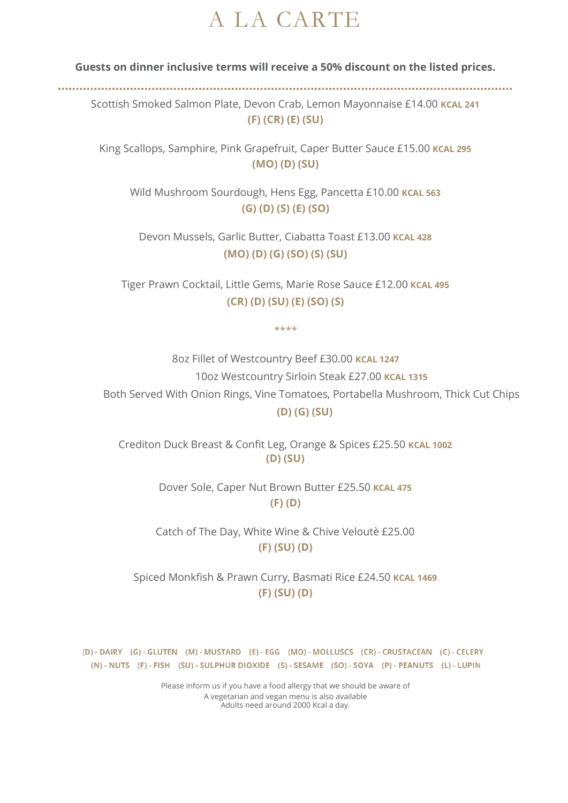## A LA CARTE

**Guests on dinner inclusive terms will receive a 50% discount on the listed prices.**

Scottish Smoked Salmon Plate, Devon Crab, Lemon Mayonnaise £14.00 **KCAL 241 (F) (CR) (E) (SU)**

King Scallops, Samphire, Pink Grapefruit, Caper Butter Sauce £15.00 **KCAL 295 (MO) (D) (SU)**

Wild Mushroom Sourdough, Hens Egg, Pancetta £10.00 **KCAL 563 (G) (D) (S) (E) (SO)**

Devon Mussels, Garlic Butter, Ciabatta Toast £13.00 **KCAL 428 (MO) (D) (G) (SO) (S) (SU)**

Tiger Prawn Cocktail, Little Gems, Marie Rose Sauce £12.00 **KCAL 495 (CR) (D) (SU) (E) (SO) (S)**

\*\*\*\*

8oz Fillet of Westcountry Beef £30.00 **KCAL 1247** 10oz Westcountry Sirloin Steak £27.00 **KCAL 1315** Both Served With Onion Rings, Vine Tomatoes, Portabella Mushroom, Thick Cut Chips  **(D) (G) (SU)**

Crediton Duck Breast & Confit Leg, Orange & Spices £25.50 **KCAL 1002 (D) (SU)**

> Dover Sole, Caper Nut Brown Butter £25.50 **KCAL 475 (F) (D)**

Catch of The Day, White Wine & Chive Veloutè £25.00 **(F) (SU) (D)**

Spiced Monkfish & Prawn Curry, Basmati Rice £24.50 **KCAL 1469 (F) (SU) (D)**

(D) - DAIRY (G) - GLUTEN (M) - MUSTARD (E) - EGG (MO) - MOLLUSCS (CR) - CRUSTACEAN (C) - CELERY (N) - NUTS (F) - FISH (SU) - SULPHUR DIOXIDE (S) - SESAME (SO) - SOYA (P) - PEANUTS (L) - LUPIN

> Please inform us if you have a food allergy that we should be aware of A vegetarian and vegan menu is also available Adults need around 2000 Kcal a day.